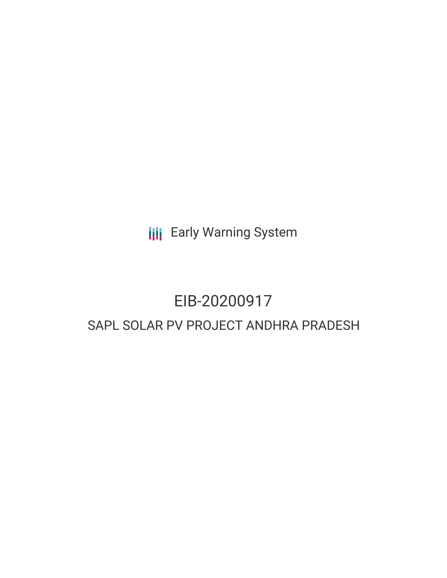**III** Early Warning System

# EIB-20200917 SAPL SOLAR PV PROJECT ANDHRA PRADESH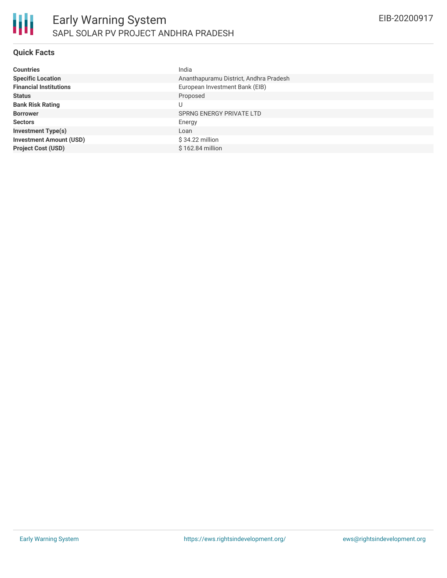# **Quick Facts**

| <b>Countries</b>               | India                                  |
|--------------------------------|----------------------------------------|
| <b>Specific Location</b>       | Ananthapuramu District, Andhra Pradesh |
| <b>Financial Institutions</b>  | European Investment Bank (EIB)         |
| <b>Status</b>                  | Proposed                               |
| <b>Bank Risk Rating</b>        |                                        |
| <b>Borrower</b>                | SPRNG ENERGY PRIVATE LTD               |
| <b>Sectors</b>                 | Energy                                 |
| <b>Investment Type(s)</b>      | Loan                                   |
| <b>Investment Amount (USD)</b> | $$34.22$ million                       |
| <b>Project Cost (USD)</b>      | \$162.84 million                       |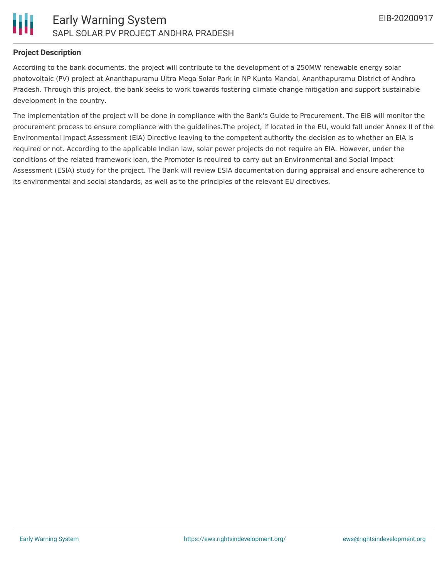

### **Project Description**

According to the bank documents, the project will contribute to the development of a 250MW renewable energy solar photovoltaic (PV) project at Ananthapuramu Ultra Mega Solar Park in NP Kunta Mandal, Ananthapuramu District of Andhra Pradesh. Through this project, the bank seeks to work towards fostering climate change mitigation and support sustainable development in the country.

The implementation of the project will be done in compliance with the Bank's Guide to Procurement. The EIB will monitor the procurement process to ensure compliance with the guidelines.The project, if located in the EU, would fall under Annex II of the Environmental Impact Assessment (EIA) Directive leaving to the competent authority the decision as to whether an EIA is required or not. According to the applicable Indian law, solar power projects do not require an EIA. However, under the conditions of the related framework loan, the Promoter is required to carry out an Environmental and Social Impact Assessment (ESIA) study for the project. The Bank will review ESIA documentation during appraisal and ensure adherence to its environmental and social standards, as well as to the principles of the relevant EU directives.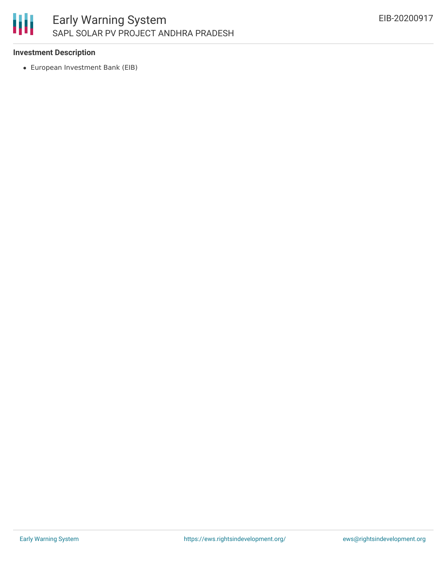

### **Investment Description**

European Investment Bank (EIB)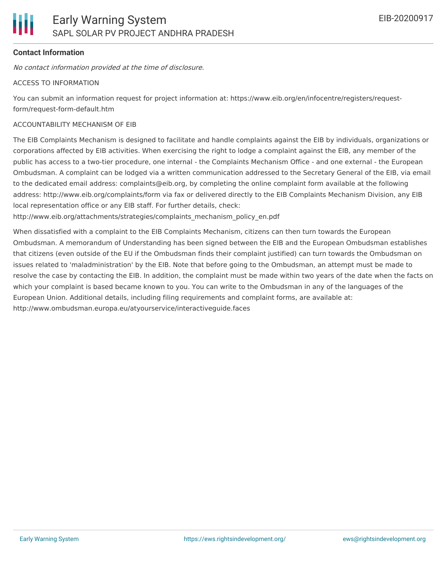# **Contact Information**

No contact information provided at the time of disclosure.

#### ACCESS TO INFORMATION

You can submit an information request for project information at: https://www.eib.org/en/infocentre/registers/requestform/request-form-default.htm

#### ACCOUNTABILITY MECHANISM OF EIB

The EIB Complaints Mechanism is designed to facilitate and handle complaints against the EIB by individuals, organizations or corporations affected by EIB activities. When exercising the right to lodge a complaint against the EIB, any member of the public has access to a two-tier procedure, one internal - the Complaints Mechanism Office - and one external - the European Ombudsman. A complaint can be lodged via a written communication addressed to the Secretary General of the EIB, via email to the dedicated email address: complaints@eib.org, by completing the online complaint form available at the following address: http://www.eib.org/complaints/form via fax or delivered directly to the EIB Complaints Mechanism Division, any EIB local representation office or any EIB staff. For further details, check:

http://www.eib.org/attachments/strategies/complaints\_mechanism\_policy\_en.pdf

When dissatisfied with a complaint to the EIB Complaints Mechanism, citizens can then turn towards the European Ombudsman. A memorandum of Understanding has been signed between the EIB and the European Ombudsman establishes that citizens (even outside of the EU if the Ombudsman finds their complaint justified) can turn towards the Ombudsman on issues related to 'maladministration' by the EIB. Note that before going to the Ombudsman, an attempt must be made to resolve the case by contacting the EIB. In addition, the complaint must be made within two years of the date when the facts on which your complaint is based became known to you. You can write to the Ombudsman in any of the languages of the European Union. Additional details, including filing requirements and complaint forms, are available at: http://www.ombudsman.europa.eu/atyourservice/interactiveguide.faces